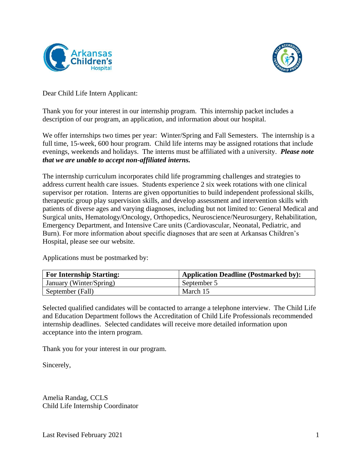



Dear Child Life Intern Applicant:

Thank you for your interest in our internship program. This internship packet includes a description of our program, an application, and information about our hospital.

We offer internships two times per year: Winter/Spring and Fall Semesters. The internship is a full time, 15-week, 600 hour program. Child life interns may be assigned rotations that include evenings, weekends and holidays. The interns must be affiliated with a university. *Please note that we are unable to accept non-affiliated interns.*

The internship curriculum incorporates child life programming challenges and strategies to address current health care issues. Students experience 2 six week rotations with one clinical supervisor per rotation. Interns are given opportunities to build independent professional skills, therapeutic group play supervision skills, and develop assessment and intervention skills with patients of diverse ages and varying diagnoses, including but not limited to: General Medical and Surgical units, Hematology/Oncology, Orthopedics, Neuroscience/Neurosurgery, Rehabilitation, Emergency Department, and Intensive Care units (Cardiovascular, Neonatal, Pediatric, and Burn). For more information about specific diagnoses that are seen at Arkansas Children's Hospital, please see our website.

Applications must be postmarked by:

| <b>For Internship Starting:</b> | <b>Application Deadline (Postmarked by):</b> |
|---------------------------------|----------------------------------------------|
| January (Winter/Spring)         | September 5                                  |
| September (Fall)                | March 15                                     |

Selected qualified candidates will be contacted to arrange a telephone interview. The Child Life and Education Department follows the Accreditation of Child Life Professionals recommended internship deadlines. Selected candidates will receive more detailed information upon acceptance into the intern program.

Thank you for your interest in our program.

Sincerely,

Amelia Randag, CCLS Child Life Internship Coordinator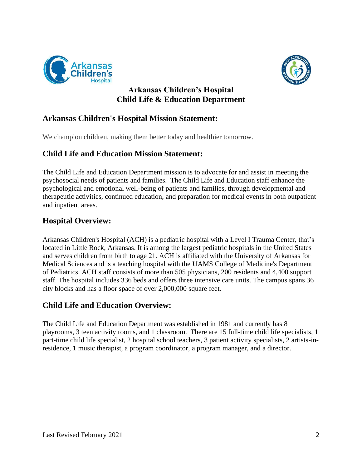



**Arkansas Children's Hospital Child Life & Education Department**

# **Arkansas Children's Hospital Mission Statement:**

We champion children, making them better today and healthier tomorrow.

# **Child Life and Education Mission Statement:**

The Child Life and Education Department mission is to advocate for and assist in meeting the psychosocial needs of patients and families. The Child Life and Education staff enhance the psychological and emotional well-being of patients and families, through developmental and therapeutic activities, continued education, and preparation for medical events in both outpatient and inpatient areas.

# **Hospital Overview:**

Arkansas Children's Hospital (ACH) is a pediatric hospital with a [Level I Trauma Center,](https://www.archildrens.org/programs-services/a-to-z-services-list/trauma-services/trauma-services) that's located in Little Rock, Arkansas. It is among the largest pediatric hospitals in the United States and serves children from birth to age 21. ACH is affiliated with the University of Arkansas for Medical Sciences and is a teaching hospital with the UAMS College of Medicine's Department of Pediatrics. ACH staff consists of more than [505 physicians,](https://www.archildrens.org/find-a-doctor/find-a-doctor) 200 residents and 4,400 support staff. The hospital includes 336 beds and offers [three intensive care units.](https://www.archildrens.org/programs-services/hospital-units-and-clinics/hospital-units/hospital-units) The campus spans 36 city blocks and has a floor space of over 2,000,000 square feet.

## **Child Life and Education Overview:**

The Child Life and Education Department was established in 1981 and currently has 8 playrooms, 3 teen activity rooms, and 1 classroom. There are 15 full-time child life specialists, 1 part-time child life specialist, 2 hospital school teachers, 3 patient activity specialists, 2 artists-inresidence, 1 music therapist, a program coordinator, a program manager, and a director.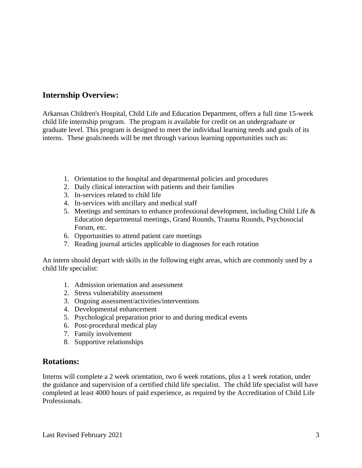# **Internship Overview:**

Arkansas Children's Hospital, Child Life and Education Department, offers a full time 15-week child life internship program. The program is available for credit on an undergraduate or graduate level. This program is designed to meet the individual learning needs and goals of its interns. These goals/needs will be met through various learning opportunities such as:

- 1. Orientation to the hospital and departmental policies and procedures
- 2. Daily clinical interaction with patients and their families
- 3. In-services related to child life
- 4. In-services with ancillary and medical staff
- 5. Meetings and seminars to enhance professional development, including Child Life & Education departmental meetings, Grand Rounds, Trauma Rounds, Psychosocial Forum, etc.
- 6. Opportunities to attend patient care meetings
- 7. Reading journal articles applicable to diagnoses for each rotation

An intern should depart with skills in the following eight areas, which are commonly used by a child life specialist:

- 1. Admission orientation and assessment
- 2. Stress vulnerability assessment
- 3. Ongoing assessment/activities/interventions
- 4. Developmental enhancement
- 5. Psychological preparation prior to and during medical events
- 6. Post-procedural medical play
- 7. Family involvement
- 8. Supportive relationships

### **Rotations:**

Interns will complete a 2 week orientation, two 6 week rotations, plus a 1 week rotation, under the guidance and supervision of a certified child life specialist. The child life specialist will have completed at least 4000 hours of paid experience, as required by the Accreditation of Child Life Professionals.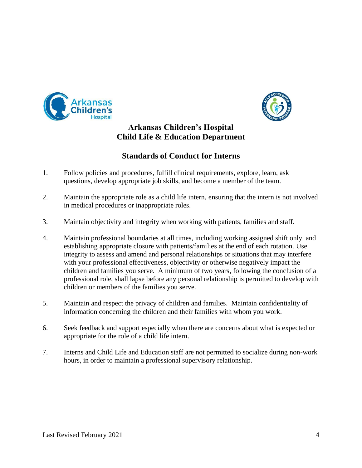



# **Arkansas Children's Hospital Child Life & Education Department**

# **Standards of Conduct for Interns**

- 1. Follow policies and procedures, fulfill clinical requirements, explore, learn, ask questions, develop appropriate job skills, and become a member of the team.
- 2. Maintain the appropriate role as a child life intern, ensuring that the intern is not involved in medical procedures or inappropriate roles.
- 3. Maintain objectivity and integrity when working with patients, families and staff.
- 4. Maintain professional boundaries at all times, including working assigned shift only and establishing appropriate closure with patients/families at the end of each rotation. Use integrity to assess and amend and personal relationships or situations that may interfere with your professional effectiveness, objectivity or otherwise negatively impact the children and families you serve. A minimum of two years, following the conclusion of a professional role, shall lapse before any personal relationship is permitted to develop with children or members of the families you serve.
- 5. Maintain and respect the privacy of children and families. Maintain confidentiality of information concerning the children and their families with whom you work.
- 6. Seek feedback and support especially when there are concerns about what is expected or appropriate for the role of a child life intern.
- 7. Interns and Child Life and Education staff are not permitted to socialize during non-work hours, in order to maintain a professional supervisory relationship.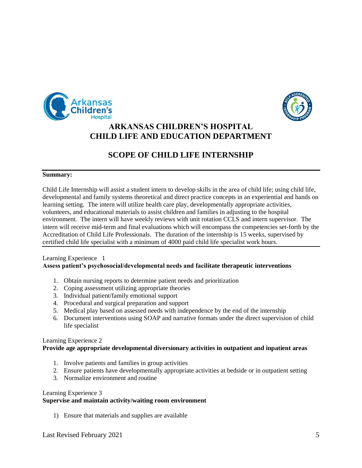



# **ARKANSAS CHILDREN'S HOSPITAL CHILD LIFE AND EDUCATION DEPARTMENT**

# **SCOPE OF CHILD LIFE INTERNSHIP**

#### **Summary:**

Child Life Internship will assist a student intern to develop skills in the area of child life; using child life, developmental and family systems theoretical and direct practice concepts in an experiential and hands on learning setting. The intern will utilize health care play, developmentally appropriate activities, volunteers, and educational materials to assist children and families in adjusting to the hospital environment. The intern will have weekly reviews with unit rotation CCLS and intern supervisor. The intern will receive mid-term and final evaluations which will encompass the competencies set-forth by the Accreditation of Child Life Professionals. The duration of the internship is 15 weeks, supervised by certified child life specialist with a minimum of 4000 paid child life specialist work hours.

#### Learning Experience 1 **Assess patient's psychosocial/developmental needs and facilitate therapeutic interventions**

- 1. Obtain nursing reports to determine patient needs and prioritization
- 2. Coping assessment utilizing appropriate theories
- 3. Individual patient/family emotional support
- 4. Procedural and surgical preparation and support
- 5. Medical play based on assessed needs with independence by the end of the internship
- 6. Document interventions using SOAP and narrative formats under the direct supervision of child life specialist

#### Learning Experience 2

### **Provide age appropriate developmental diversionary activities in outpatient and inpatient areas**

- 1. Involve patients and families in group activities
- 2. Ensure patients have developmentally appropriate activities at bedside or in outpatient setting
- 3. Normalize environment and routine

#### Learning Experience 3

#### **Supervise and maintain activity/waiting room environment**

1) Ensure that materials and supplies are available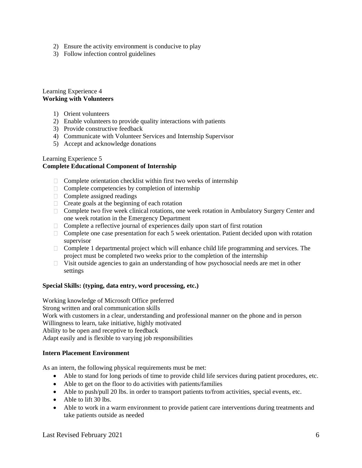- 2) Ensure the activity environment is conducive to play
- 3) Follow infection control guidelines

#### Learning Experience 4 **Working with Volunteers**

- 1) Orient volunteers
- 2) Enable volunteers to provide quality interactions with patients
- 3) Provide constructive feedback
- 4) Communicate with Volunteer Services and Internship Supervisor
- 5) Accept and acknowledge donations

#### Learning Experience 5

### **Complete Educational Component of Internship**

- $\Box$  Complete orientation checklist within first two weeks of internship
- $\Box$  Complete competencies by completion of internship
- □ Complete assigned readings
- $\Box$  Create goals at the beginning of each rotation
- □ Complete two five week clinical rotations, one week rotation in Ambulatory Surgery Center and one week rotation in the Emergency Department
- $\Box$  Complete a reflective journal of experiences daily upon start of first rotation
- $\Box$  Complete one case presentation for each 5 week orientation. Patient decided upon with rotation supervisor
- $\Box$  Complete 1 departmental project which will enhance child life programming and services. The project must be completed two weeks prior to the completion of the internship
- $\Box$  Visit outside agencies to gain an understanding of how psychosocial needs are met in other settings

### **Special Skills: (typing, data entry, word processing, etc.)**

Working knowledge of Microsoft Office preferred Strong written and oral communication skills Work with customers in a clear, understanding and professional manner on the phone and in person Willingness to learn, take initiative, highly motivated Ability to be open and receptive to feedback Adapt easily and is flexible to varying job responsibilities

#### **Intern Placement Environment**

As an intern, the following physical requirements must be met:

- Able to stand for long periods of time to provide child life services during patient procedures, etc.
- Able to get on the floor to do activities with patients/families
- Able to push/pull 20 lbs. in order to transport patients to/from activities, special events, etc.
- Able to lift 30 lbs.
- Able to work in a warm environment to provide patient care interventions during treatments and take patients outside as needed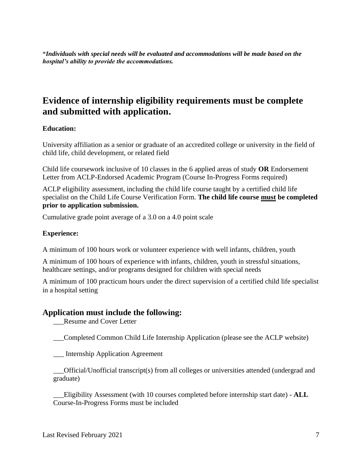\**Individuals with special needs will be evaluated and accommodations will be made based on the hospital's ability to provide the accommodations.* 

# **Evidence of internship eligibility requirements must be complete and submitted with application.**

### **Education:**

University affiliation as a senior or graduate of an accredited college or university in the field of child life, child development, or related field

Child life coursework inclusive of 10 classes in the [6 applied areas of study](http://www.childlife.org/files/Revised%20CW%20Requirement.pdf) **OR** Endorsement Letter from ACLP-Endorsed Academic Program (Course In-Progress Forms required)

ACLP eligibility assessment, including the child life course taught by a certified child life specialist on the Child Life Course Verification Form. **The child life course must be completed prior to application submission.**

Cumulative grade point average of a 3.0 on a 4.0 point scale

### **Experience:**

A minimum of 100 hours work or volunteer experience with well infants, children, youth

A minimum of 100 hours of experience with infants, children, youth in stressful situations, healthcare settings, and/or programs designed for children with special needs

A minimum of 100 practicum hours under the direct supervision of a certified child life specialist in a hospital setting

### **Application must include the following:**

\_\_\_Resume and Cover Letter

\_\_\_Completed Common Child Life Internship Application (please see the ACLP website)

\_\_\_ Internship Application Agreement

\_\_\_Official/Unofficial transcript(s) from all colleges or universities attended (undergrad and graduate)

\_\_\_Eligibility Assessment (with 10 courses completed before internship start date) - **ALL** Course-In-Progress Forms must be included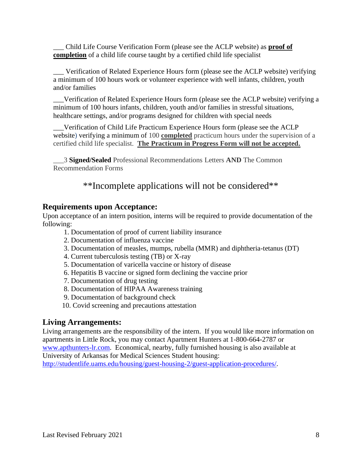\_\_\_ Child Life Course Verification Form (please see the ACLP website) as **proof of completion** of a child life course taught by a certified child life specialist

\_\_\_ Verification of Related Experience Hours form (please see the ACLP website) verifying a minimum of 100 hours work or volunteer experience with well infants, children, youth and/or families

\_\_\_Verification of Related Experience Hours form (please see the ACLP website) verifying a minimum of 100 hours infants, children, youth and/or families in stressful situations, healthcare settings, and/or programs designed for children with special needs

\_\_\_Verification of Child Life Practicum Experience Hours form (please see the ACLP website) verifying a minimum of 100 **completed** practicum hours under the supervision of a certified child life specialist. **The Practicum in Progress Form will not be accepted.**

\_\_\_3 **Signed/Sealed** Professional Recommendations Letters **AND** The Common Recommendation Forms

\*\*Incomplete applications will not be considered\*\*

### **Requirements upon Acceptance:**

Upon acceptance of an intern position, interns will be required to provide documentation of the following:

- 1. Documentation of proof of current liability insurance
- 2. Documentation of influenza vaccine
- 3. Documentation of measles, mumps, rubella (MMR) and diphtheria-tetanus (DT)
- 4. Current tuberculosis testing (TB) or X-ray
- 5. Documentation of varicella vaccine or history of disease
- 6. Hepatitis B vaccine or signed form declining the vaccine prior
- 7. Documentation of drug testing
- 8. Documentation of HIPAA Awareness training
- 9. Documentation of background check
- 10. Covid screening and precautions attestation

### **Living Arrangements:**

Living arrangements are the responsibility of the intern. If you would like more information on apartments in Little Rock, you may contact Apartment Hunters at 1-800-664-2787 or [www.apthunters-lr.com.](http://www.apthunters-lr.com/) Economical, nearby, fully furnished housing is also available at University of Arkansas for Medical Sciences Student housing:

[http://studentlife.uams.edu/housing/guest-housing-2/guest-application-procedures/.](http://studentlife.uams.edu/housing/guest-housing-2/guest-application-procedures/)